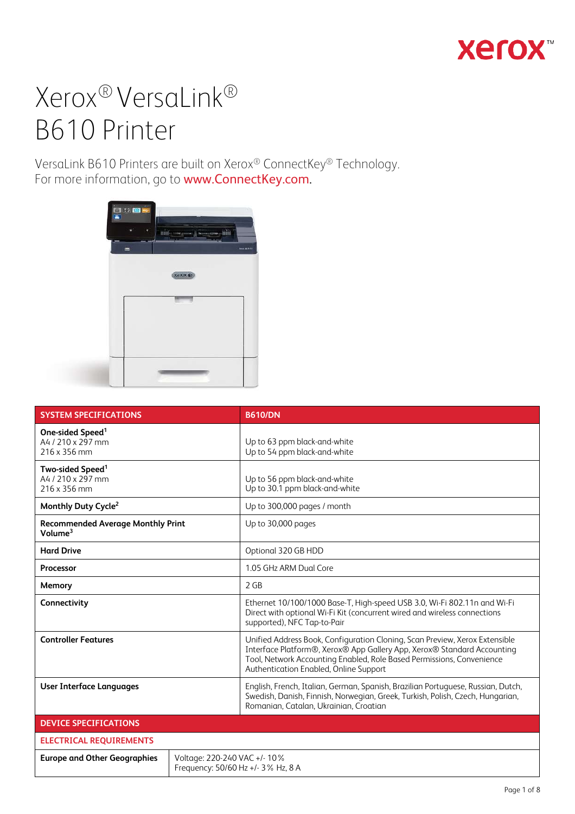## **Xerox**

# Xerox® VersaLink® B610 Printer

VersaLink B610 Printers are built on Xerox® ConnectKey® Technology. For more information, go to www.ConnectKey.com.



| <b>SYSTEM SPECIFICATIONS</b>                                      | <b>B610/DN</b>                                                                                                                                                                                                                                                            |  |
|-------------------------------------------------------------------|---------------------------------------------------------------------------------------------------------------------------------------------------------------------------------------------------------------------------------------------------------------------------|--|
| One-sided Speed <sup>1</sup><br>A4 / 210 x 297 mm<br>216 x 356 mm | Up to 63 ppm black-and-white<br>Up to 54 ppm black-and-white                                                                                                                                                                                                              |  |
| Two-sided Speed <sup>1</sup><br>A4 / 210 x 297 mm<br>216 x 356 mm | Up to 56 ppm black-and-white<br>Up to 30.1 ppm black-and-white                                                                                                                                                                                                            |  |
| Monthly Duty Cycle <sup>2</sup>                                   | Up to 300,000 pages / month                                                                                                                                                                                                                                               |  |
| <b>Recommended Average Monthly Print</b><br>Volume <sup>3</sup>   | Up to 30,000 pages                                                                                                                                                                                                                                                        |  |
| <b>Hard Drive</b>                                                 | Optional 320 GB HDD                                                                                                                                                                                                                                                       |  |
| Processor                                                         | 1.05 GHz ARM Dual Core                                                                                                                                                                                                                                                    |  |
| Memory                                                            | 2 GB                                                                                                                                                                                                                                                                      |  |
| Connectivity                                                      | Ethernet 10/100/1000 Base-T, High-speed USB 3.0, Wi-Fi 802.11n and Wi-Fi<br>Direct with optional Wi-Fi Kit (concurrent wired and wireless connections<br>supported), NFC Tap-to-Pair                                                                                      |  |
| <b>Controller Features</b>                                        | Unified Address Book, Configuration Cloning, Scan Preview, Xerox Extensible<br>Interface Platform®, Xerox® App Gallery App, Xerox® Standard Accounting<br>Tool, Network Accounting Enabled, Role Based Permissions, Convenience<br>Authentication Enabled, Online Support |  |
| <b>User Interface Languages</b>                                   | English, French, Italian, German, Spanish, Brazilian Portuguese, Russian, Dutch,<br>Swedish, Danish, Finnish, Norwegian, Greek, Turkish, Polish, Czech, Hungarian,<br>Romanian, Catalan, Ukrainian, Croatian                                                              |  |
| <b>DEVICE SPECIFICATIONS</b>                                      |                                                                                                                                                                                                                                                                           |  |
| <b>ELECTRICAL REQUIREMENTS</b>                                    |                                                                                                                                                                                                                                                                           |  |
| <b>Europe and Other Geographies</b>                               | Voltage: 220-240 VAC +/- 10%<br>Frequency: 50/60 Hz +/- 3% Hz, 8 A                                                                                                                                                                                                        |  |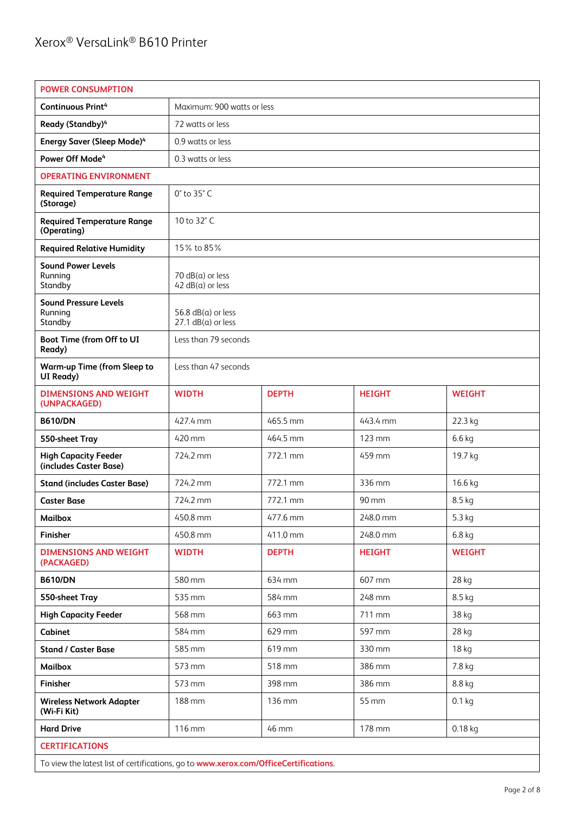| <b>POWER CONSUMPTION</b>                              |                                                  |              |               |               |
|-------------------------------------------------------|--------------------------------------------------|--------------|---------------|---------------|
| <b>Continuous Print4</b>                              | Maximum: 900 watts or less                       |              |               |               |
| Ready (Standby) <sup>4</sup>                          | 72 watts or less                                 |              |               |               |
| <b>Energy Saver (Sleep Mode)4</b>                     | 0.9 watts or less                                |              |               |               |
| Power Off Mode <sup>4</sup>                           | 0.3 watts or less                                |              |               |               |
| <b>OPERATING ENVIRONMENT</b>                          |                                                  |              |               |               |
| <b>Required Temperature Range</b><br>(Storage)        | 0° to 35° C                                      |              |               |               |
| <b>Required Temperature Range</b><br>(Operating)      | 10 to 32°C                                       |              |               |               |
| <b>Required Relative Humidity</b>                     | 15% to 85%                                       |              |               |               |
| <b>Sound Power Levels</b><br>Running<br>Standby       | $70$ dB( $a$ ) or less<br>$42 dB(a)$ or less     |              |               |               |
| <b>Sound Pressure Levels</b><br>Running<br>Standby    | 56.8 $dB(a)$ or less<br>$27.1$ dB( $a$ ) or less |              |               |               |
| Boot Time (from Off to UI<br>Ready)                   | Less than 79 seconds                             |              |               |               |
| <b>Warm-up Time (from Sleep to</b><br>UI Ready)       | Less than 47 seconds                             |              |               |               |
| <b>DIMENSIONS AND WEIGHT</b><br>(UNPACKAGED)          | <b>WIDTH</b>                                     | <b>DEPTH</b> | <b>HEIGHT</b> | <b>WEIGHT</b> |
| <b>B610/DN</b>                                        | 427.4 mm                                         | 465.5 mm     | 443.4 mm      | 22.3 kg       |
| 550-sheet Tray                                        | 420 mm                                           | 464.5 mm     | 123 mm        | 6.6 kg        |
| <b>High Capacity Feeder</b><br>(includes Caster Base) | 724.2 mm                                         | 772.1 mm     | 459 mm        | 19.7 kg       |
| <b>Stand (includes Caster Base)</b>                   | 724.2 mm                                         | 772.1 mm     | 336 mm        | 16.6 kg       |
| <b>Caster Base</b>                                    | 724.2 mm                                         | 772.1 mm     | 90 mm         | 8.5 kg        |
| <b>Mailbox</b>                                        | 450.8 mm                                         | 477.6 mm     | 248.0 mm      | 5.3 kg        |
| Finisher                                              | 450.8 mm                                         | 411.0 mm     | 248.0 mm      | $6.8$ kg      |
| <b>DIMENSIONS AND WEIGHT</b><br>(PACKAGED)            | <b>WIDTH</b>                                     | <b>DEPTH</b> | <b>HEIGHT</b> | <b>WEIGHT</b> |
| <b>B610/DN</b>                                        | 580 mm                                           | 634 mm       | 607 mm        | 28 kg         |
| 550-sheet Tray                                        | 535 mm                                           | 584 mm       | 248 mm        | 8.5 kg        |
| <b>High Capacity Feeder</b>                           | 568 mm                                           | 663 mm       | 711 mm        | 38 kg         |
| Cabinet                                               | 584 mm                                           | 629 mm       | 597 mm        | 28 kg         |
| <b>Stand / Caster Base</b>                            | 585 mm                                           | 619 mm       | 330 mm        | 18 kg         |
| <b>Mailbox</b>                                        | 573 mm                                           | 518 mm       | 386 mm        | 7.8 kg        |
| Finisher                                              | 573 mm                                           | 398 mm       | 386 mm        | 8.8 kg        |
| <b>Wireless Network Adapter</b><br>(Wi-Fi Kit)        | 188 mm                                           | 136 mm       | 55 mm         | $0.1$ kg      |
| <b>Hard Drive</b>                                     | 116 mm<br>46 mm<br>178 mm<br>$0.18$ kg           |              |               |               |
| <b>CERTIFICATIONS</b>                                 |                                                  |              |               |               |

To view the latest list of certifications, go to **www.xerox.com/OfficeCertifications**.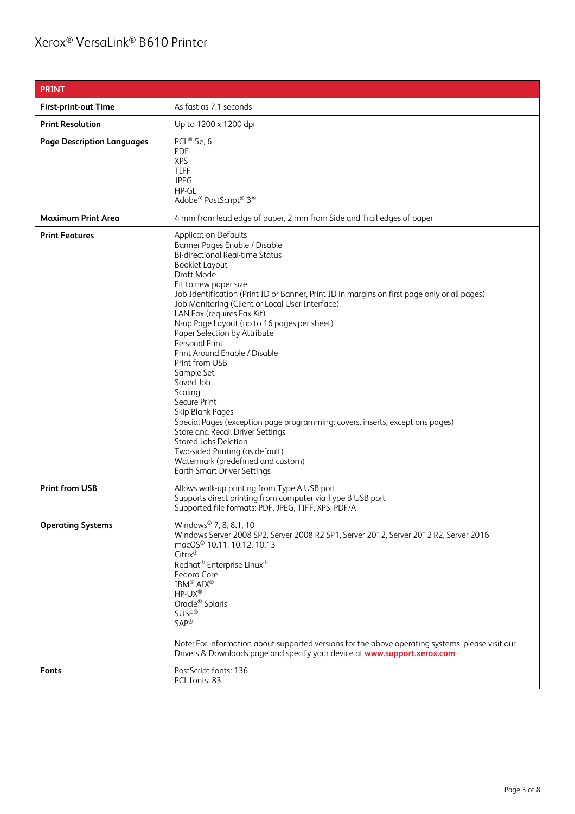## Xerox® VersaLink® B610 Printer

| <b>PRINT</b>                      |                                                                                                                                                                                                                                                                                                                                                                                                                                                                                                                                                                                                                                                                                                                                                                                                                                                  |
|-----------------------------------|--------------------------------------------------------------------------------------------------------------------------------------------------------------------------------------------------------------------------------------------------------------------------------------------------------------------------------------------------------------------------------------------------------------------------------------------------------------------------------------------------------------------------------------------------------------------------------------------------------------------------------------------------------------------------------------------------------------------------------------------------------------------------------------------------------------------------------------------------|
| <b>First-print-out Time</b>       | As fast as 7.1 seconds                                                                                                                                                                                                                                                                                                                                                                                                                                                                                                                                                                                                                                                                                                                                                                                                                           |
| <b>Print Resolution</b>           | Up to 1200 x 1200 dpi                                                                                                                                                                                                                                                                                                                                                                                                                                                                                                                                                                                                                                                                                                                                                                                                                            |
| <b>Page Description Languages</b> | PCL® 5e, 6<br><b>PDF</b><br><b>XPS</b><br><b>TIFF</b><br><b>JPEG</b><br>HP-GL<br>Adobe® PostScript® 3™                                                                                                                                                                                                                                                                                                                                                                                                                                                                                                                                                                                                                                                                                                                                           |
| <b>Maximum Print Area</b>         | 4 mm from lead edge of paper, 2 mm from Side and Trail edges of paper                                                                                                                                                                                                                                                                                                                                                                                                                                                                                                                                                                                                                                                                                                                                                                            |
| <b>Print Features</b>             | <b>Application Defaults</b><br>Banner Pages Enable / Disable<br><b>Bi-directional Real-time Status</b><br><b>Booklet Layout</b><br>Draft Mode<br>Fit to new paper size<br>Job Identification (Print ID or Banner, Print ID in margins on first page only or all pages)<br>Job Monitoring (Client or Local User Interface)<br>LAN Fax (requires Fax Kit)<br>N-up Page Layout (up to 16 pages per sheet)<br>Paper Selection by Attribute<br>Personal Print<br>Print Around Enable / Disable<br>Print from USB<br>Sample Set<br>Saved Job<br>Scaling<br>Secure Print<br>Skip Blank Pages<br>Special Pages (exception page programming: covers, inserts, exceptions pages)<br>Store and Recall Driver Settings<br>Stored Jobs Deletion<br>Two-sided Printing (as default)<br>Watermark (predefined and custom)<br><b>Earth Smart Driver Settings</b> |
| <b>Print from USB</b>             | Allows walk-up printing from Type A USB port<br>Supports direct printing from computer via Type B USB port<br>Supported file formats: PDF, JPEG, TIFF, XPS, PDF/A                                                                                                                                                                                                                                                                                                                                                                                                                                                                                                                                                                                                                                                                                |
| <b>Operating Systems</b>          | Windows <sup>®</sup> 7, 8, 8.1, 10<br>Windows Server 2008 SP2, Server 2008 R2 SP1, Server 2012, Server 2012 R2, Server 2016<br>macOS <sup>®</sup> 10.11, 10.12, 10.13<br>Citrix®<br>Redhat <sup>®</sup> Enterprise Linux <sup>®</sup><br>Fedora Core<br>IBM <sup>®</sup> AIX <sup>®</sup><br>HP-UX®<br>Oracle <sup>®</sup> Solaris<br><b>SUSE®</b><br><b>SAP®</b><br>Note: For information about supported versions for the above operating systems, please visit our<br>Drivers & Downloads page and specify your device at www.support.xerox.com                                                                                                                                                                                                                                                                                               |
| Fonts                             | PostScript fonts: 136<br>PCL fonts: 83                                                                                                                                                                                                                                                                                                                                                                                                                                                                                                                                                                                                                                                                                                                                                                                                           |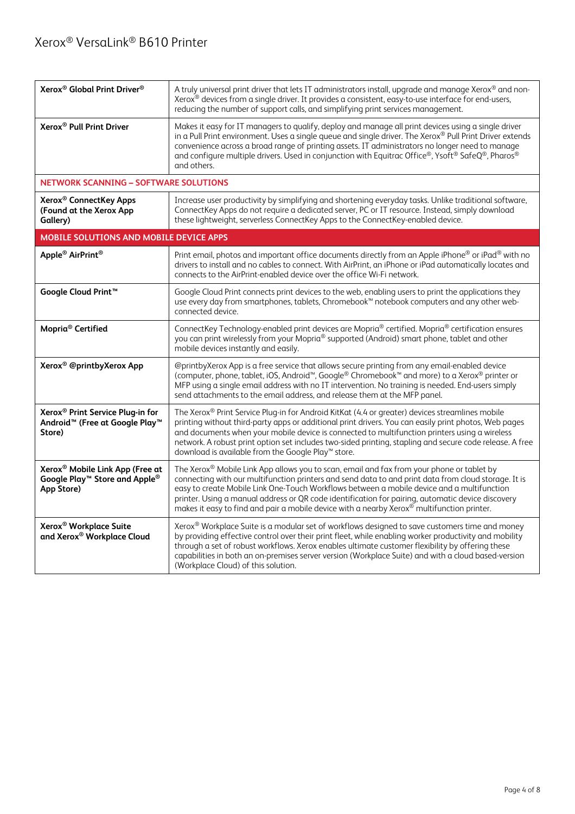| Xerox <sup>®</sup> Global Print Driver <sup>®</sup>                                                              | A truly universal print driver that lets IT administrators install, upgrade and manage Xerox® and non-<br>Xerox <sup>®</sup> devices from a single driver. It provides a consistent, easy-to-use interface for end-users,<br>reducing the number of support calls, and simplifying print services management.                                                                                                                                                                                      |  |
|------------------------------------------------------------------------------------------------------------------|----------------------------------------------------------------------------------------------------------------------------------------------------------------------------------------------------------------------------------------------------------------------------------------------------------------------------------------------------------------------------------------------------------------------------------------------------------------------------------------------------|--|
| Xerox <sup>®</sup> Pull Print Driver                                                                             | Makes it easy for IT managers to qualify, deploy and manage all print devices using a single driver<br>in a Pull Print environment. Uses a single queue and single driver. The Xerox® Pull Print Driver extends<br>convenience across a broad range of printing assets. IT administrators no longer need to manage<br>and configure multiple drivers. Used in conjunction with Equitrac Office®, Ysoft® SafeQ®, Pharos®<br>and others.                                                             |  |
| <b>NETWORK SCANNING - SOFTWARE SOLUTIONS</b>                                                                     |                                                                                                                                                                                                                                                                                                                                                                                                                                                                                                    |  |
| Xerox <sup>®</sup> ConnectKey Apps<br>(Found at the Xerox App<br>Gallery)                                        | Increase user productivity by simplifying and shortening everyday tasks. Unlike traditional software,<br>ConnectKey Apps do not require a dedicated server, PC or IT resource. Instead, simply download<br>these lightweight, serverless ConnectKey Apps to the ConnectKey-enabled device.                                                                                                                                                                                                         |  |
| <b>MOBILE SOLUTIONS AND MOBILE DEVICE APPS</b>                                                                   |                                                                                                                                                                                                                                                                                                                                                                                                                                                                                                    |  |
| Apple <sup>®</sup> AirPrint <sup>®</sup>                                                                         | Print email, photos and important office documents directly from an Apple iPhone® or iPad® with no<br>drivers to install and no cables to connect. With AirPrint, an iPhone or iPad automatically locates and<br>connects to the AirPrint-enabled device over the office Wi-Fi network.                                                                                                                                                                                                            |  |
| Google Cloud Print <sup>™</sup>                                                                                  | Google Cloud Print connects print devices to the web, enabling users to print the applications they<br>use every day from smartphones, tablets, Chromebook™ notebook computers and any other web-<br>connected device.                                                                                                                                                                                                                                                                             |  |
| Mopria <sup>®</sup> Certified                                                                                    | ConnectKey Technology-enabled print devices are Mopria® certified. Mopria® certification ensures<br>you can print wirelessly from your Mopria® supported (Android) smart phone, tablet and other<br>mobile devices instantly and easily.                                                                                                                                                                                                                                                           |  |
| Xerox <sup>®</sup> @printbyXerox App                                                                             | @printbyXerox App is a free service that allows secure printing from any email-enabled device<br>(computer, phone, tablet, iOS, Android <sup>™</sup> , Google <sup>®</sup> Chromebook™ and more) to a Xerox® printer or<br>MFP using a single email address with no IT intervention. No training is needed. End-users simply<br>send attachments to the email address, and release them at the MFP panel.                                                                                          |  |
| Xerox <sup>®</sup> Print Service Plug-in for<br>Android <sup>™</sup> (Free at Google Play <sup>™</sup><br>Store) | The Xerox® Print Service Plug-in for Android KitKat (4.4 or greater) devices streamlines mobile<br>printing without third-party apps or additional print drivers. You can easily print photos, Web pages<br>and documents when your mobile device is connected to multifunction printers using a wireless<br>network. A robust print option set includes two-sided printing, stapling and secure code release. A free<br>download is available from the Google Play™ store.                        |  |
| Xerox <sup>®</sup> Mobile Link App (Free at<br>Google Play™ Store and Apple®<br>App Store)                       | The Xerox® Mobile Link App allows you to scan, email and fax from your phone or tablet by<br>connecting with our multifunction printers and send data to and print data from cloud storage. It is<br>easy to create Mobile Link One-Touch Workflows between a mobile device and a multifunction<br>printer. Using a manual address or QR code identification for pairing, automatic device discovery<br>makes it easy to find and pair a mobile device with a nearby Xerox® multifunction printer. |  |
| Xerox <sup>®</sup> Workplace Suite<br>and Xerox <sup>®</sup> Workplace Cloud                                     | Xerox® Workplace Suite is a modular set of workflows designed to save customers time and money<br>by providing effective control over their print fleet, while enabling worker productivity and mobility<br>through a set of robust workflows. Xerox enables ultimate customer flexibility by offering these<br>capabilities in both an on-premises server version (Workplace Suite) and with a cloud based-version<br>(Workplace Cloud) of this solution.                                         |  |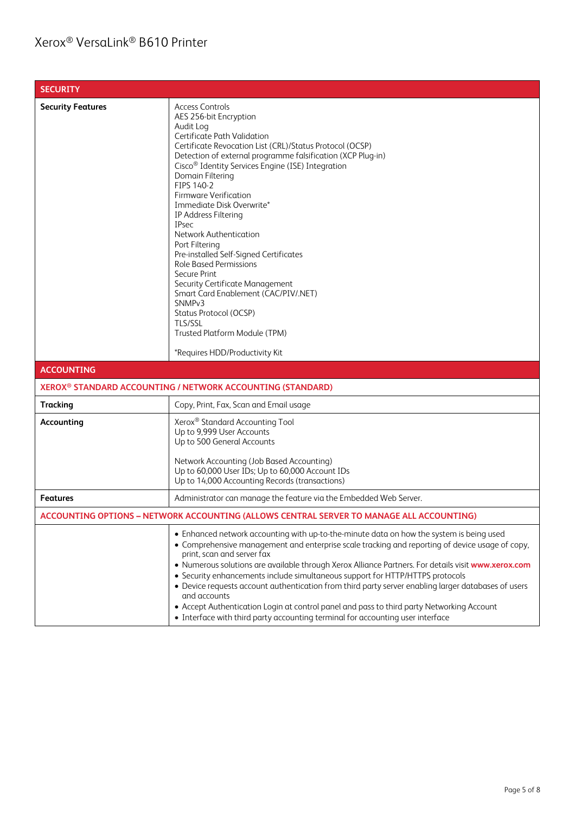| <b>SECURITY</b>          |                                                                                                                                                                                                                                                                                                                                                                                                                                                                                                                                                                                                                                                                                                                                                                                 |
|--------------------------|---------------------------------------------------------------------------------------------------------------------------------------------------------------------------------------------------------------------------------------------------------------------------------------------------------------------------------------------------------------------------------------------------------------------------------------------------------------------------------------------------------------------------------------------------------------------------------------------------------------------------------------------------------------------------------------------------------------------------------------------------------------------------------|
| <b>Security Features</b> | <b>Access Controls</b><br>AES 256-bit Encryption<br>Audit Log<br>Certificate Path Validation<br>Certificate Revocation List (CRL)/Status Protocol (OCSP)<br>Detection of external programme falsification (XCP Plug-in)<br>Cisco <sup>®</sup> Identity Services Engine (ISE) Integration<br>Domain Filtering<br>FIPS 140-2<br><b>Firmware Verification</b><br>Immediate Disk Overwrite*<br>IP Address Filtering<br><b>IPsec</b><br>Network Authentication<br>Port Filtering<br>Pre-installed Self-Signed Certificates<br><b>Role Based Permissions</b><br>Secure Print<br>Security Certificate Management<br>Smart Card Enablement (CAC/PIV/.NET)<br>SNMP <sub>v3</sub><br>Status Protocol (OCSP)<br>TLS/SSL<br>Trusted Platform Module (TPM)<br>*Requires HDD/Productivity Kit |
| <b>ACCOUNTING</b>        |                                                                                                                                                                                                                                                                                                                                                                                                                                                                                                                                                                                                                                                                                                                                                                                 |
|                          | XEROX <sup>®</sup> STANDARD ACCOUNTING / NETWORK ACCOUNTING (STANDARD)                                                                                                                                                                                                                                                                                                                                                                                                                                                                                                                                                                                                                                                                                                          |
| <b>Tracking</b>          | Copy, Print, Fax, Scan and Email usage                                                                                                                                                                                                                                                                                                                                                                                                                                                                                                                                                                                                                                                                                                                                          |
| Accounting               | Xerox <sup>®</sup> Standard Accounting Tool<br>Up to 9,999 User Accounts<br>Up to 500 General Accounts<br>Network Accounting (Job Based Accounting)<br>Up to 60,000 User IDs; Up to 60,000 Account IDs<br>Up to 14,000 Accounting Records (transactions)                                                                                                                                                                                                                                                                                                                                                                                                                                                                                                                        |
| <b>Features</b>          | Administrator can manage the feature via the Embedded Web Server.                                                                                                                                                                                                                                                                                                                                                                                                                                                                                                                                                                                                                                                                                                               |
|                          | ACCOUNTING OPTIONS – NETWORK ACCOUNTING (ALLOWS CENTRAL SERVER TO MANAGE ALL ACCOUNTING)                                                                                                                                                                                                                                                                                                                                                                                                                                                                                                                                                                                                                                                                                        |
|                          | • Enhanced network accounting with up-to-the-minute data on how the system is being used<br>• Comprehensive management and enterprise scale tracking and reporting of device usage of copy,<br>print, scan and server fax<br>. Numerous solutions are available through Xerox Alliance Partners. For details visit www.xerox.com<br>• Security enhancements include simultaneous support for HTTP/HTTPS protocols<br>• Device requests account authentication from third party server enabling larger databases of users<br>and accounts<br>• Accept Authentication Login at control panel and pass to third party Networking Account<br>• Interface with third party accounting terminal for accounting user interface                                                         |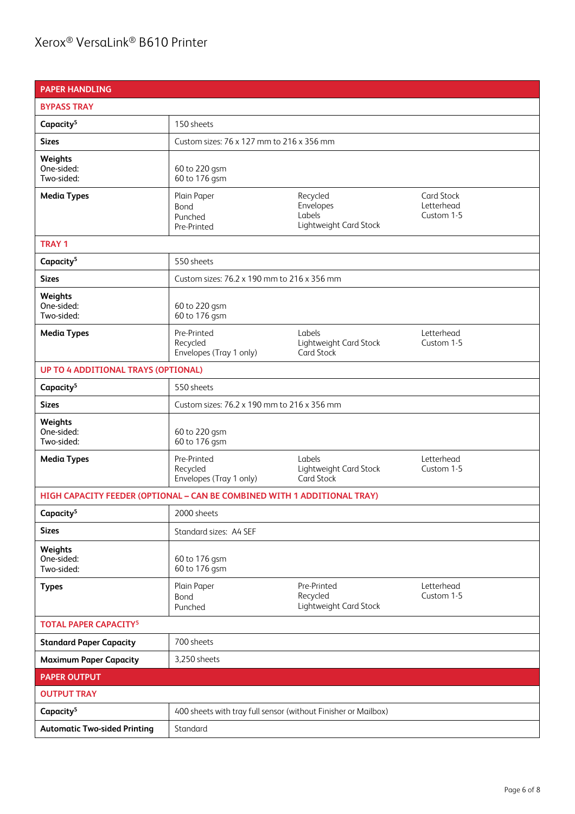## Xerox® VersaLink® B610 Printer

| <b>PAPER HANDLING</b>                                                    |                                                                |                                                           |                                               |
|--------------------------------------------------------------------------|----------------------------------------------------------------|-----------------------------------------------------------|-----------------------------------------------|
| <b>BYPASS TRAY</b>                                                       |                                                                |                                                           |                                               |
| Capacity <sup>5</sup>                                                    | 150 sheets                                                     |                                                           |                                               |
| <b>Sizes</b>                                                             | Custom sizes: 76 x 127 mm to 216 x 356 mm                      |                                                           |                                               |
| Weights<br>One-sided:<br>Two-sided:                                      | 60 to 220 gsm<br>60 to 176 gsm                                 |                                                           |                                               |
| <b>Media Types</b>                                                       | Plain Paper<br>Bond<br>Punched<br>Pre-Printed                  | Recycled<br>Envelopes<br>Labels<br>Lightweight Card Stock | <b>Card Stock</b><br>Letterhead<br>Custom 1-5 |
| <b>TRAY 1</b>                                                            |                                                                |                                                           |                                               |
| Capacity <sup>5</sup>                                                    | 550 sheets                                                     |                                                           |                                               |
| <b>Sizes</b>                                                             | Custom sizes: 76.2 x 190 mm to 216 x 356 mm                    |                                                           |                                               |
| Weights<br>One-sided:<br>Two-sided:                                      | 60 to 220 gsm<br>60 to 176 gsm                                 |                                                           |                                               |
| <b>Media Types</b>                                                       | Pre-Printed<br>Recycled<br>Envelopes (Tray 1 only)             | Labels<br>Lightweight Card Stock<br>Card Stock            | Letterhead<br>Custom 1-5                      |
| <b>UP TO 4 ADDITIONAL TRAYS (OPTIONAL)</b>                               |                                                                |                                                           |                                               |
| Capacity <sup>5</sup>                                                    | 550 sheets                                                     |                                                           |                                               |
| <b>Sizes</b>                                                             | Custom sizes: 76.2 x 190 mm to 216 x 356 mm                    |                                                           |                                               |
| Weights<br>One-sided:<br>Two-sided:                                      | 60 to 220 gsm<br>60 to 176 gsm                                 |                                                           |                                               |
| <b>Media Types</b>                                                       | Pre-Printed<br>Recycled<br>Envelopes (Tray 1 only)             | Labels<br>Lightweight Card Stock<br><b>Card Stock</b>     | Letterhead<br>Custom 1-5                      |
| HIGH CAPACITY FEEDER (OPTIONAL - CAN BE COMBINED WITH 1 ADDITIONAL TRAY) |                                                                |                                                           |                                               |
| Capacity <sup>5</sup>                                                    | 2000 sheets                                                    |                                                           |                                               |
| <b>Sizes</b>                                                             | Standard sizes: A4 SEF                                         |                                                           |                                               |
| Weights<br>One-sided:<br>Two-sided:                                      | 60 to 176 gsm<br>60 to 176 gsm                                 |                                                           |                                               |
| <b>Types</b>                                                             | Plain Paper<br>Bond<br>Punched                                 | Pre-Printed<br>Recycled<br>Lightweight Card Stock         | Letterhead<br>Custom 1-5                      |
| <b>TOTAL PAPER CAPACITY<sup>5</sup></b>                                  |                                                                |                                                           |                                               |
| <b>Standard Paper Capacity</b>                                           | 700 sheets                                                     |                                                           |                                               |
| <b>Maximum Paper Capacity</b>                                            | 3,250 sheets                                                   |                                                           |                                               |
| <b>PAPER OUTPUT</b>                                                      |                                                                |                                                           |                                               |
| <b>OUTPUT TRAY</b>                                                       |                                                                |                                                           |                                               |
| Capacity <sup>5</sup>                                                    | 400 sheets with tray full sensor (without Finisher or Mailbox) |                                                           |                                               |
| <b>Automatic Two-sided Printing</b>                                      | Standard                                                       |                                                           |                                               |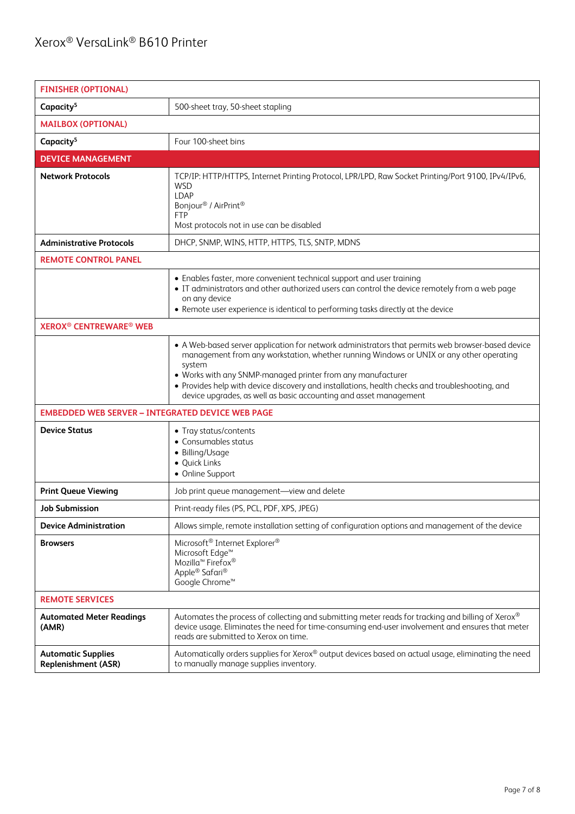| <b>FINISHER (OPTIONAL)</b>                              |                                                                                                                                                                                                                                                                                                                                                                                                                                               |  |
|---------------------------------------------------------|-----------------------------------------------------------------------------------------------------------------------------------------------------------------------------------------------------------------------------------------------------------------------------------------------------------------------------------------------------------------------------------------------------------------------------------------------|--|
| Capacity <sup>5</sup>                                   | 500-sheet tray, 50-sheet stapling                                                                                                                                                                                                                                                                                                                                                                                                             |  |
| <b>MAILBOX (OPTIONAL)</b>                               |                                                                                                                                                                                                                                                                                                                                                                                                                                               |  |
| Capacity <sup>5</sup>                                   | Four 100-sheet bins                                                                                                                                                                                                                                                                                                                                                                                                                           |  |
| <b>DEVICE MANAGEMENT</b>                                |                                                                                                                                                                                                                                                                                                                                                                                                                                               |  |
| <b>Network Protocols</b>                                | TCP/IP: HTTP/HTTPS, Internet Printing Protocol, LPR/LPD, Raw Socket Printing/Port 9100, IPv4/IPv6,<br><b>WSD</b><br><b>LDAP</b><br>Bonjour <sup>®</sup> / AirPrint <sup>®</sup><br><b>FTP</b><br>Most protocols not in use can be disabled                                                                                                                                                                                                    |  |
| <b>Administrative Protocols</b>                         | DHCP, SNMP, WINS, HTTP, HTTPS, TLS, SNTP, MDNS                                                                                                                                                                                                                                                                                                                                                                                                |  |
| <b>REMOTE CONTROL PANEL</b>                             |                                                                                                                                                                                                                                                                                                                                                                                                                                               |  |
|                                                         | • Enables faster, more convenient technical support and user training<br>• IT administrators and other authorized users can control the device remotely from a web page<br>on any device<br>• Remote user experience is identical to performing tasks directly at the device                                                                                                                                                                  |  |
| <b>XEROX<sup>®</sup> CENTREWARE<sup>®</sup> WEB</b>     |                                                                                                                                                                                                                                                                                                                                                                                                                                               |  |
|                                                         | • A Web-based server application for network administrators that permits web browser-based device<br>management from any workstation, whether running Windows or UNIX or any other operating<br>system<br>• Works with any SNMP-managed printer from any manufacturer<br>• Provides help with device discovery and installations, health checks and troubleshooting, and<br>device upgrades, as well as basic accounting and asset management |  |
| <b>EMBEDDED WEB SERVER - INTEGRATED DEVICE WEB PAGE</b> |                                                                                                                                                                                                                                                                                                                                                                                                                                               |  |
| <b>Device Status</b>                                    | • Tray status/contents<br>• Consumables status<br>• Billing/Usage<br>· Quick Links<br>• Online Support                                                                                                                                                                                                                                                                                                                                        |  |
| <b>Print Queue Viewing</b>                              | Job print queue management-view and delete                                                                                                                                                                                                                                                                                                                                                                                                    |  |
| Job Submission                                          | Print-ready files (PS, PCL, PDF, XPS, JPEG)                                                                                                                                                                                                                                                                                                                                                                                                   |  |
| <b>Device Administration</b>                            | Allows simple, remote installation setting of configuration options and management of the device                                                                                                                                                                                                                                                                                                                                              |  |
| <b>Browsers</b>                                         | Microsoft <sup>®</sup> Internet Explorer <sup>®</sup><br>Microsoft Edge <sup>™</sup><br>Mozilla <sup>™</sup> Firefox <sup>®</sup><br>Apple® Safari®<br>Google Chrome™                                                                                                                                                                                                                                                                         |  |
| <b>REMOTE SERVICES</b>                                  |                                                                                                                                                                                                                                                                                                                                                                                                                                               |  |
| <b>Automated Meter Readings</b><br>(AMR)                | Automates the process of collecting and submitting meter reads for tracking and billing of Xerox®<br>device usage. Eliminates the need for time-consuming end-user involvement and ensures that meter<br>reads are submitted to Xerox on time.                                                                                                                                                                                                |  |
| <b>Automatic Supplies</b><br>Replenishment (ASR)        | Automatically orders supplies for Xerox® output devices based on actual usage, eliminating the need<br>to manually manage supplies inventory.                                                                                                                                                                                                                                                                                                 |  |